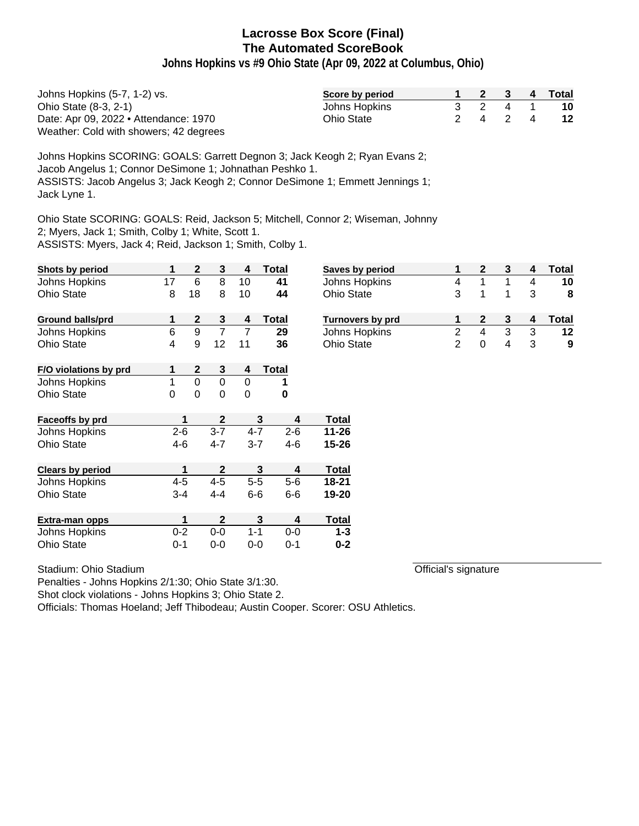**Johns Hopkins vs #9 Ohio State (Apr 09, 2022 at Columbus, Ohio)**

| Johns Hopkins (5-7, 1-2) vs.           | Score by period |  |       | 2 3 4 Total |
|----------------------------------------|-----------------|--|-------|-------------|
| Ohio State (8-3, 2-1)                  | Johns Hopkins   |  | 3 2 4 | 10          |
| Date: Apr 09, 2022 • Attendance: 1970  | Ohio State      |  | 2 4 2 | 12          |
| Weather: Cold with showers; 42 degrees |                 |  |       |             |

Johns Hopkins SCORING: GOALS: Garrett Degnon 3; Jack Keogh 2; Ryan Evans 2; Jacob Angelus 1; Connor DeSimone 1; Johnathan Peshko 1. ASSISTS: Jacob Angelus 3; Jack Keogh 2; Connor DeSimone 1; Emmett Jennings 1; Jack Lyne 1.

Ohio State SCORING: GOALS: Reid, Jackson 5; Mitchell, Connor 2; Wiseman, Johnny 2; Myers, Jack 1; Smith, Colby 1; White, Scott 1.

ASSISTS: Myers, Jack 4; Reid, Jackson 1; Smith, Colby 1.

| Shots by period         | 1               | $\mathbf{2}$     | $\mathbf{3}$     | 4           | Total        | Saves by period  | 1              | $\mathbf 2$    | 3 | 4 | Total |
|-------------------------|-----------------|------------------|------------------|-------------|--------------|------------------|----------------|----------------|---|---|-------|
| Johns Hopkins           | 17              | 6                | 8                | 10          | 41           | Johns Hopkins    | 4              |                |   | 4 | 10    |
| <b>Ohio State</b>       | 8               | 18               | 8                | 10          | 44           | Ohio State       | 3              |                |   | 3 | 8     |
| <b>Ground balls/prd</b> | 1               | 2                | 3                | 4           | Total        | Turnovers by prd | 1              | $\mathbf{2}$   | 3 | 4 | Total |
| Johns Hopkins           | $6\phantom{1}6$ | 9                | $\overline{7}$   | 7           | 29           | Johns Hopkins    | $\overline{2}$ | $\overline{4}$ | 3 | 3 | 12    |
| Ohio State              | 4               | 9                | 12               | 11          | 36           | Ohio State       | $\overline{2}$ | $\pmb{0}$      | 4 | 3 | 9     |
| F/O violations by prd   |                 | 2                | 3                | 4           | <b>Total</b> |                  |                |                |   |   |       |
| Johns Hopkins           | 1               | $\overline{0}$   | $\mathbf 0$      | $\mathbf 0$ | 1            |                  |                |                |   |   |       |
| <b>Ohio State</b>       | $\Omega$        | $\boldsymbol{0}$ | $\mathbf 0$      | $\mathbf 0$ | 0            |                  |                |                |   |   |       |
| Faceoffs by prd         |                 | 1                | $\mathbf{2}$     |             | 3<br>4       | <b>Total</b>     |                |                |   |   |       |
| Johns Hopkins           | $2 - 6$         |                  | $3 - 7$          | $4 - 7$     | $2 - 6$      | $11 - 26$        |                |                |   |   |       |
| <b>Ohio State</b>       | $4 - 6$         |                  | $4 - 7$          | $3 - 7$     | $4 - 6$      | $15 - 26$        |                |                |   |   |       |
| <b>Clears by period</b> |                 | 1                | $\boldsymbol{2}$ |             | 3<br>4       | <b>Total</b>     |                |                |   |   |       |
| Johns Hopkins           | $4 - 5$         |                  | $4 - 5$          | $5-5$       | $5-6$        | $18 - 21$        |                |                |   |   |       |
| <b>Ohio State</b>       | $3 - 4$         |                  | 4-4              | $6-6$       | $6-6$        | 19-20            |                |                |   |   |       |
| Extra-man opps          |                 | 1                | $\mathbf{2}$     |             | 3<br>4       | <b>Total</b>     |                |                |   |   |       |
| Johns Hopkins           | $0 - 2$         |                  | $0-0$            | $1 - 1$     | $0-0$        | $1 - 3$          |                |                |   |   |       |
| <b>Ohio State</b>       | $0 - 1$         |                  | $0-0$            | $0-0$       | $0 - 1$      | $0 - 2$          |                |                |   |   |       |

Stadium: Ohio Stadium

Official's signature

Penalties - Johns Hopkins 2/1:30; Ohio State 3/1:30.

Shot clock violations - Johns Hopkins 3; Ohio State 2.

Officials: Thomas Hoeland; Jeff Thibodeau; Austin Cooper. Scorer: OSU Athletics.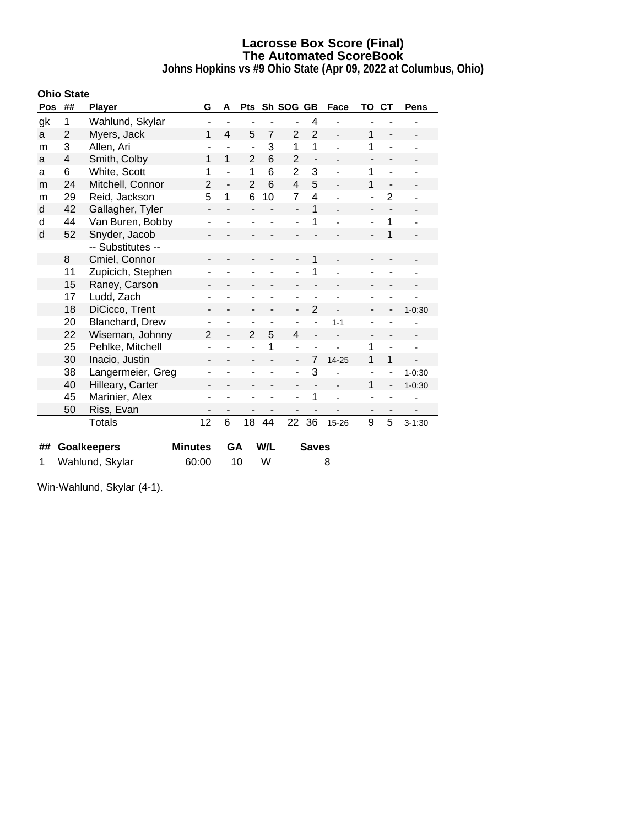**Johns Hopkins vs #9 Ohio State (Apr 09, 2022 at Columbus, Ohio)**

|     | <b>Ohio State</b> |                    |                          |                          |                          |                |                              |                              |                |                          |                          |                |
|-----|-------------------|--------------------|--------------------------|--------------------------|--------------------------|----------------|------------------------------|------------------------------|----------------|--------------------------|--------------------------|----------------|
| Pos | ##                | <b>Player</b>      | G                        | A                        | <b>Pts</b>               |                | Sh SOG GB                    |                              | Face           | ΤО                       | CТ                       | Pens           |
| gk  | 1                 | Wahlund, Skylar    | ۰                        |                          | ٠                        |                | $\blacksquare$               | 4                            |                |                          |                          |                |
| a   | $\overline{2}$    | Myers, Jack        | 1                        | 4                        | 5                        | $\overline{7}$ | $\overline{2}$               | $\overline{2}$               | L.             | 1                        | $\blacksquare$           |                |
| m   | 3                 | Allen, Ari         | ۰                        | ۰                        | $\overline{\phantom{m}}$ | 3              | 1                            | 1                            |                | 1                        | $\blacksquare$           |                |
| a   | 4                 | Smith, Colby       | 1                        | 1                        | $\overline{2}$           | 6              | $\overline{2}$               | $\qquad \qquad \blacksquare$ |                |                          |                          |                |
| a   | 6                 | White, Scott       | 1                        | ÷,                       | 1                        | 6              | $\overline{2}$               | 3                            |                | 1                        | $\blacksquare$           |                |
| m   | 24                | Mitchell, Connor   | $\overline{2}$           | $\overline{\phantom{0}}$ | $\overline{2}$           | 6              | 4                            | 5                            |                | 1                        |                          |                |
| m   | 29                | Reid, Jackson      | 5                        | 1                        | 6                        | 10             | $\overline{7}$               | $\overline{4}$               |                | ۰                        | $\overline{2}$           |                |
| d   | 42                | Gallagher, Tyler   | -                        |                          |                          |                | $\overline{a}$               | 1                            |                | -                        |                          |                |
| d   | 44                | Van Buren, Bobby   | ٠                        |                          |                          |                | ÷,                           | 1                            |                | ä,                       | 1                        |                |
| d   | 52                | Snyder, Jacob      | -                        |                          | ۰                        |                | $\blacksquare$               |                              |                | $\overline{\phantom{a}}$ | $\overline{1}$           |                |
|     |                   | -- Substitutes --  |                          |                          |                          |                |                              |                              |                |                          |                          |                |
|     | 8                 | Cmiel, Connor      |                          |                          |                          |                | $\qquad \qquad \blacksquare$ | 1                            |                | $\overline{\phantom{0}}$ |                          |                |
|     | 11                | Zupicich, Stephen  |                          |                          |                          |                |                              | 1                            |                |                          |                          |                |
|     | 15                | Raney, Carson      | -                        |                          | $\overline{\phantom{a}}$ |                | $\overline{\phantom{a}}$     |                              |                | -                        | $\overline{\phantom{a}}$ |                |
|     | 17                | Ludd, Zach         |                          |                          |                          |                | ۰                            |                              |                |                          |                          |                |
|     | 18                | DiCicco, Trent     | -                        |                          | $\overline{\phantom{a}}$ |                | $\qquad \qquad \blacksquare$ | 2                            | $\overline{a}$ | -                        |                          | $1 - 0.30$     |
|     | 20                | Blanchard, Drew    |                          |                          | $\overline{\phantom{0}}$ |                | $\overline{\phantom{a}}$     |                              | $1 - 1$        |                          |                          |                |
|     | 22                | Wiseman, Johnny    | 2                        | $\overline{a}$           | $\overline{2}$           | 5              | 4                            | $\overline{a}$               |                | -                        | $\overline{\phantom{a}}$ | $\blacksquare$ |
|     | 25                | Pehlke, Mitchell   |                          |                          | ÷                        | 1              | $\overline{\phantom{a}}$     |                              |                | 1                        |                          | ÷              |
|     | 30                | Inacio, Justin     | $\overline{\phantom{a}}$ |                          | $\blacksquare$           |                | $\overline{a}$               | 7                            | 14-25          | 1                        | 1                        |                |
|     | 38                | Langermeier, Greg  | ۰                        |                          | $\overline{\phantom{a}}$ |                | $\overline{\phantom{a}}$     | 3                            |                | $\overline{\phantom{a}}$ |                          | $1 - 0:30$     |
|     | 40                | Hilleary, Carter   |                          |                          |                          |                |                              |                              |                | 1                        |                          | $1 - 0:30$     |
|     | 45                | Marinier, Alex     | ٠                        |                          | $\overline{\phantom{0}}$ |                | $\overline{\phantom{a}}$     | 1                            |                | ۰                        |                          |                |
|     | 50                | Riss, Evan         | ٠                        |                          |                          |                |                              |                              |                | $\overline{\phantom{a}}$ |                          |                |
|     |                   | Totals             | 12                       | 6                        | 18                       | 44             | 22                           | 36                           | 15-26          | 9                        | 5                        | $3 - 1:30$     |
|     |                   |                    |                          |                          |                          |                |                              |                              |                |                          |                          |                |
| ##  |                   | <b>Goalkeepers</b> | <b>Minutes</b>           | GA                       |                          | W/L            |                              | <b>Saves</b>                 |                |                          |                          |                |

| Win-Wahlund, Skylar (4-1). |  |
|----------------------------|--|

1 Wahlund, Skylar 60:00 10 W 8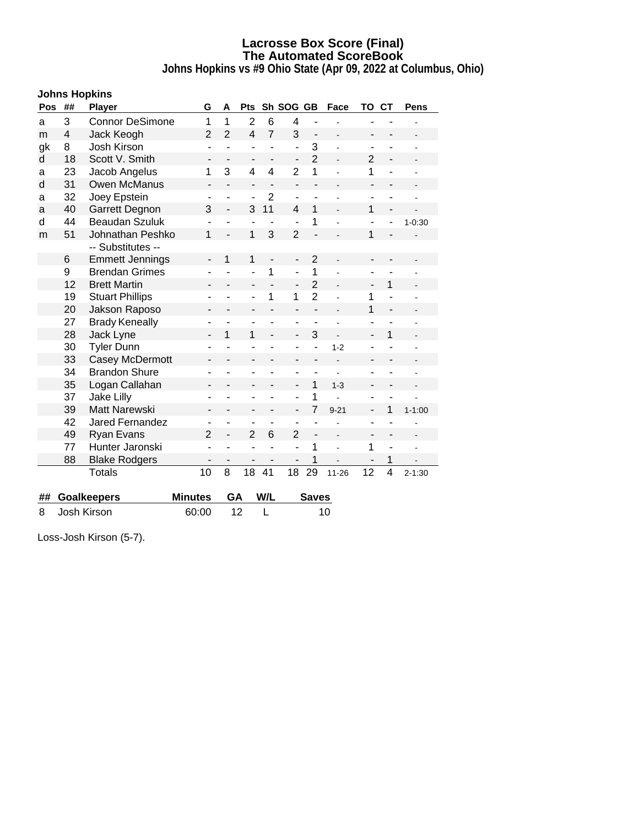**Johns Hopkins vs #9 Ohio State (Apr 09, 2022 at Columbus, Ohio)**

|     | <b>Johns Hopkins</b> |                        |                              |                          |                         |                          |                          |                          |                |                              |                              |            |
|-----|----------------------|------------------------|------------------------------|--------------------------|-------------------------|--------------------------|--------------------------|--------------------------|----------------|------------------------------|------------------------------|------------|
| Pos | ##                   | <b>Player</b>          | G                            | A                        | <b>Pts</b>              |                          |                          | Sh SOG GB<br>Face        |                | TO                           | <b>CT</b>                    | Pens       |
| a   | 3                    | <b>Connor DeSimone</b> | 1                            | 1                        | $\overline{2}$          | 6                        | 4                        | $\blacksquare$           |                |                              |                              |            |
| m   | 4                    | Jack Keogh             | $\overline{2}$               | $\overline{2}$           | $\overline{\mathbf{4}}$ | $\overline{7}$           | 3                        | $\overline{\phantom{a}}$ | L.             | $\qquad \qquad \blacksquare$ | $\qquad \qquad \blacksquare$ |            |
| gk  | 8                    | Josh Kirson            | $\overline{\phantom{a}}$     | ÷,                       | $\overline{a}$          |                          | $\overline{\phantom{a}}$ | 3                        |                | $\qquad \qquad \blacksquare$ | ۰                            |            |
| d   | 18                   | Scott V. Smith         | $\overline{\phantom{a}}$     |                          | ۰                       |                          | $\overline{\phantom{0}}$ | $\overline{2}$           |                | $\overline{2}$               | $\overline{a}$               |            |
| а   | 23                   | Jacob Angelus          | 1                            | 3                        | $\overline{4}$          | 4                        | $\overline{2}$           | 1                        |                | 1                            | ÷,                           |            |
| d   | 31                   | Owen McManus           | $\qquad \qquad \blacksquare$ | $\overline{\phantom{0}}$ | -                       | $\overline{\phantom{a}}$ | ÷,                       | $\overline{\phantom{0}}$ |                | $\overline{\phantom{a}}$     | $\overline{\phantom{0}}$     |            |
| a   | 32                   | Joey Epstein           | ٠                            | $\overline{a}$           | $\overline{a}$          | $\overline{2}$           | ä,                       | ÷.                       |                | ٠                            |                              |            |
| а   | 40                   | Garrett Degnon         | 3                            | $\overline{\phantom{a}}$ | 3                       | 11                       | 4                        | 1                        |                | 1                            |                              |            |
| d   | 44                   | <b>Beaudan Szuluk</b>  |                              | ۰                        | $\overline{a}$          |                          | $\overline{a}$           | 1                        |                | $\overline{\phantom{a}}$     |                              | $1 - 0:30$ |
| m   | 51                   | Johnathan Peshko       | 1                            |                          | 1                       | 3                        | $\overline{2}$           | L.                       |                | 1                            |                              |            |
|     |                      | -- Substitutes --      |                              |                          |                         |                          |                          |                          |                |                              |                              |            |
|     | 6                    | <b>Emmett Jennings</b> | $\qquad \qquad \blacksquare$ | 1                        | 1                       | $\overline{a}$           | $\overline{\phantom{0}}$ | $\overline{2}$           |                | $\qquad \qquad \blacksquare$ |                              |            |
|     | 9                    | <b>Brendan Grimes</b>  |                              |                          | $\overline{a}$          | 1                        | L,                       | 1                        |                | $\blacksquare$               |                              |            |
|     | 12                   | <b>Brett Martin</b>    | -                            | $\overline{\phantom{0}}$ | -                       | ÷,                       | $\overline{\phantom{0}}$ | $\overline{2}$           | ä,             | $\qquad \qquad \blacksquare$ | 1                            |            |
|     | 19                   | <b>Stuart Phillips</b> | ۰                            |                          | ÷                       | 1                        | 1                        | $\overline{2}$           |                | 1                            | ä,                           |            |
|     | 20                   | Jakson Raposo          | $\blacksquare$               |                          | ۰                       |                          | $\overline{\phantom{0}}$ | $\overline{\phantom{a}}$ |                | 1                            | $\overline{a}$               |            |
|     | 27                   | <b>Brady Keneally</b>  | ۳                            | ÷                        | ۰                       |                          | ÷,                       |                          |                | $\overline{\phantom{a}}$     | ÷                            |            |
|     | 28                   | Jack Lyne              |                              | 1                        | 1                       |                          | ÷,                       | 3                        |                | $\overline{\phantom{0}}$     | 1                            |            |
|     | 30                   | <b>Tyler Dunn</b>      | ٠                            | L,                       | L,                      |                          | ä,                       | ÷,                       | $1 - 2$        | $\blacksquare$               | L,                           |            |
|     | 33                   | Casey McDermott        | -                            |                          | -                       |                          | -                        | $\overline{\phantom{0}}$ |                | $\overline{\phantom{0}}$     | $\overline{\phantom{0}}$     |            |
|     | 34                   | <b>Brandon Shure</b>   | ۰                            |                          | ۰                       |                          | ۰                        | ۰                        |                | ۰                            | ۰                            |            |
|     | 35                   | Logan Callahan         | $\qquad \qquad \blacksquare$ | $\overline{\phantom{a}}$ | $\overline{a}$          |                          | $\overline{\phantom{0}}$ | 1                        | $1 - 3$        | $\overline{\phantom{a}}$     | $\overline{\phantom{a}}$     |            |
|     | 37                   | <b>Jake Lilly</b>      | ÷,                           |                          | ÷,                      |                          | $\overline{a}$           | 1                        |                | ۳                            |                              |            |
|     | 39                   | <b>Matt Narewski</b>   | $\overline{\phantom{0}}$     | $\overline{\phantom{a}}$ | ۰                       | ۳                        | $\overline{\phantom{a}}$ | $\overline{7}$           | $9 - 21$       | $\overline{\phantom{a}}$     | 1                            | $1 - 1:00$ |
|     | 42                   | <b>Jared Fernandez</b> | $\blacksquare$               | ä,                       | ÷                       | ä,                       | ÷,                       | ä,                       |                | $\overline{\phantom{a}}$     |                              |            |
|     | 49                   | Ryan Evans             | $\overline{2}$               | $\overline{\phantom{0}}$ | $\overline{2}$          | 6                        | $\overline{2}$           | $\overline{\phantom{a}}$ | $\blacksquare$ | $\qquad \qquad \blacksquare$ | $\overline{\phantom{a}}$     |            |
|     | 77                   | Hunter Jaronski        | $\overline{\phantom{a}}$     |                          | ۰                       |                          | L,                       | 1                        |                | 1                            | $\overline{\phantom{a}}$     |            |
|     | 88                   | <b>Blake Rodgers</b>   |                              |                          | ÷,                      |                          | $\overline{a}$           | 1                        |                |                              | 1                            |            |
|     |                      | <b>Totals</b>          | 10                           | 8                        | 18                      | 41                       | 18                       | 29                       | $11 - 26$      | 12                           | 4                            | $2 - 1:30$ |
| ##  |                      | <b>Goalkeepers</b>     | <b>Minutes</b>               | GA                       |                         | W/L                      |                          | <b>Saves</b>             |                |                              |                              |            |
| 8   |                      | <b>Josh Kirson</b>     | 60:00                        |                          | 12                      | L                        |                          |                          | 10             |                              |                              |            |

Loss-Josh Kirson (5-7).